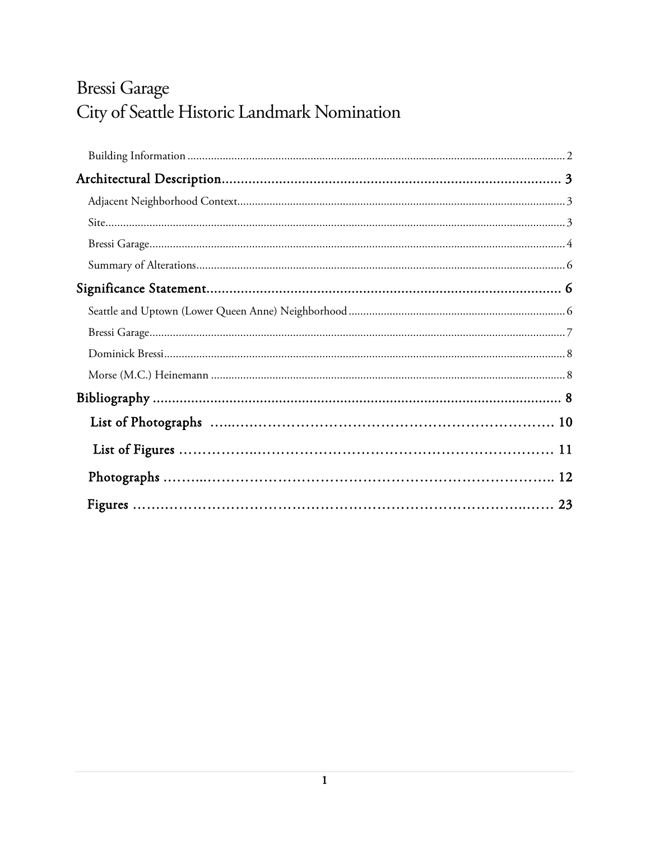# Bressi Garage City of Seattle Historic Landmark Nomination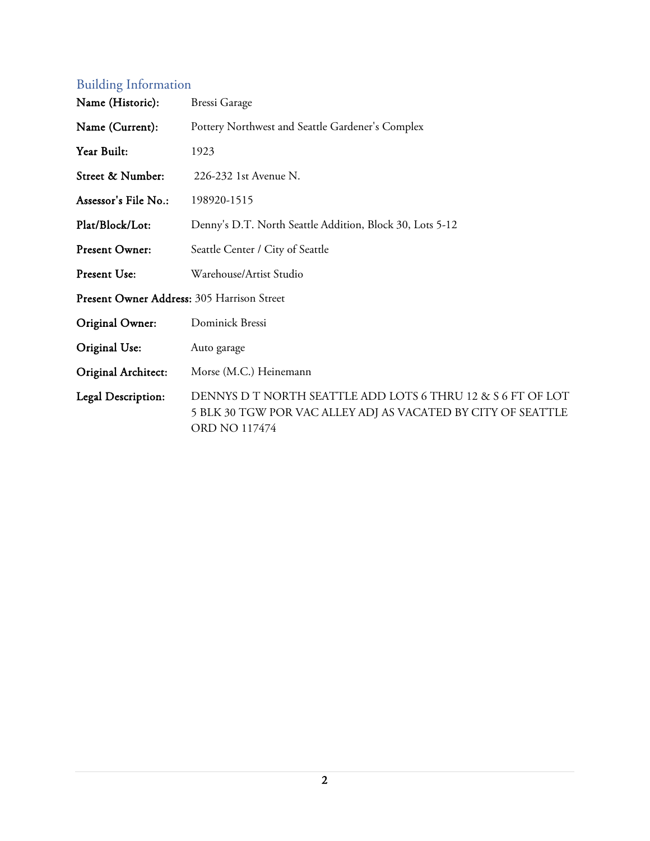# <span id="page-1-0"></span>Building Information

| Name (Historic):                           | <b>Bressi Garage</b>                                                                                                                         |  |
|--------------------------------------------|----------------------------------------------------------------------------------------------------------------------------------------------|--|
| Name (Current):                            | Pottery Northwest and Seattle Gardener's Complex                                                                                             |  |
| Year Built:                                | 1923                                                                                                                                         |  |
| Street & Number:                           | 226-232 1st Avenue N.                                                                                                                        |  |
| Assessor's File No.:                       | 198920-1515                                                                                                                                  |  |
| Plat/Block/Lot:                            | Denny's D.T. North Seattle Addition, Block 30, Lots 5-12                                                                                     |  |
| Present Owner:                             | Seattle Center / City of Seattle                                                                                                             |  |
| Present Use:                               | Warehouse/Artist Studio                                                                                                                      |  |
| Present Owner Address: 305 Harrison Street |                                                                                                                                              |  |
| Original Owner:                            | Dominick Bressi                                                                                                                              |  |
| Original Use:                              | Auto garage                                                                                                                                  |  |
| Original Architect:                        | Morse (M.C.) Heinemann                                                                                                                       |  |
| Legal Description:                         | DENNYS D T NORTH SEATTLE ADD LOTS 6 THRU 12 & S 6 FT OF LOT<br>5 BLK 30 TGW POR VAC ALLEY ADJ AS VACATED BY CITY OF SEATTLE<br>ORD NO 117474 |  |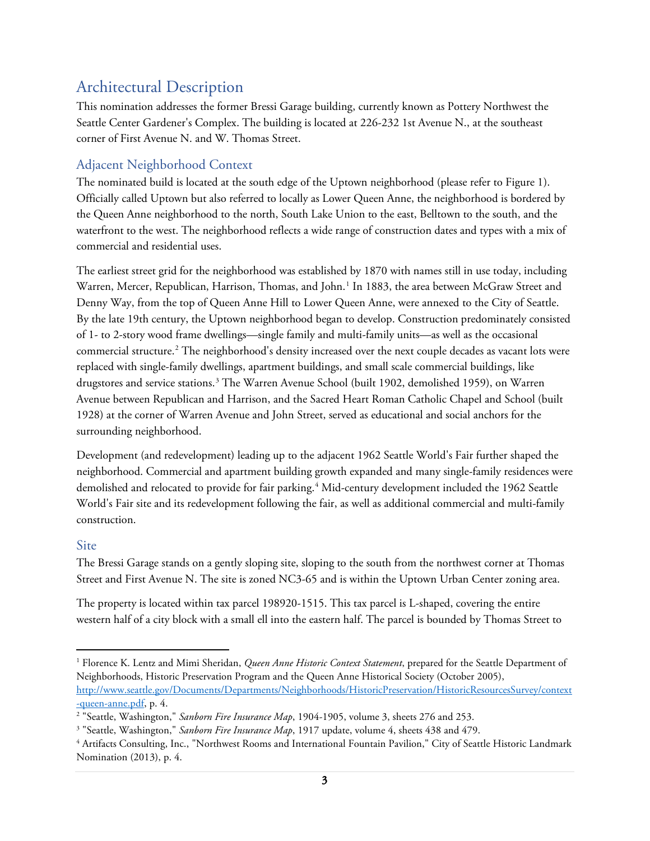## <span id="page-2-0"></span>Architectural Description

This nomination addresses the former Bressi Garage building, currently known as Pottery Northwest the Seattle Center Gardener's Complex. The building is located at 226-232 1st Avenue N., at the southeast corner of First Avenue N. and W. Thomas Street.

#### <span id="page-2-1"></span>Adjacent Neighborhood Context

The nominated build is located at the south edge of the Uptown neighborhood (please refer to Figure 1). Officially called Uptown but also referred to locally as Lower Queen Anne, the neighborhood is bordered by the Queen Anne neighborhood to the north, South Lake Union to the east, Belltown to the south, and the waterfront to the west. The neighborhood reflects a wide range of construction dates and types with a mix of commercial and residential uses.

The earliest street grid for the neighborhood was established by 1870 with names still in use today, including Warren, Mercer, Republican, Harrison, Thomas, and John.<sup>[1](#page-2-3)</sup> In 1883, the area between McGraw Street and Denny Way, from the top of Queen Anne Hill to Lower Queen Anne, were annexed to the City of Seattle. By the late 19th century, the Uptown neighborhood began to develop. Construction predominately consisted of 1- to 2-story wood frame dwellings—single family and multi-family units—as well as the occasional commercial structure.<sup>[2](#page-2-4)</sup> The neighborhood's density increased over the next couple decades as vacant lots were replaced with single-family dwellings, apartment buildings, and small scale commercial buildings, like drugstores and service stations.[3](#page-2-5) The Warren Avenue School (built 1902, demolished 1959), on Warren Avenue between Republican and Harrison, and the Sacred Heart Roman Catholic Chapel and School (built 1928) at the corner of Warren Avenue and John Street, served as educational and social anchors for the surrounding neighborhood.

Development (and redevelopment) leading up to the adjacent 1962 Seattle World's Fair further shaped the neighborhood. Commercial and apartment building growth expanded and many single-family residences were demolished and relocated to provide for fair parking.<sup>[4](#page-2-6)</sup> Mid-century development included the 1962 Seattle World's Fair site and its redevelopment following the fair, as well as additional commercial and multi-family construction.

#### <span id="page-2-2"></span>Site

The Bressi Garage stands on a gently sloping site, sloping to the south from the northwest corner at Thomas Street and First Avenue N. The site is zoned NC3-65 and is within the Uptown Urban Center zoning area.

The property is located within tax parcel 198920-1515. This tax parcel is L-shaped, covering the entire western half of a city block with a small ell into the eastern half. The parcel is bounded by Thomas Street to

<span id="page-2-3"></span> <sup>1</sup> Florence K. Lentz and Mimi Sheridan, *Queen Anne Historic Context Statement*, prepared for the Seattle Department of Neighborhoods, Historic Preservation Program and the Queen Anne Historical Society (October 2005), [http://www.seattle.gov/Documents/Departments/Neighborhoods/HistoricPreservation/HistoricResourcesSurvey/context](http://www.seattle.gov/Documents/Departments/Neighborhoods/HistoricPreservation/HistoricResourcesSurvey/context-queen-anne.pdf) [-queen-anne.pdf,](http://www.seattle.gov/Documents/Departments/Neighborhoods/HistoricPreservation/HistoricResourcesSurvey/context-queen-anne.pdf) p. 4.

<span id="page-2-4"></span><sup>2</sup> "Seattle, Washington," *Sanborn Fire Insurance Map*, 1904-1905, volume 3, sheets 276 and 253.

<span id="page-2-5"></span><sup>&</sup>lt;sup>3</sup> "Seattle, Washington," Sanborn Fire Insurance Map, 1917 update, volume 4, sheets 438 and 479.

<span id="page-2-6"></span><sup>&</sup>lt;sup>4</sup> Artifacts Consulting, Inc., "Northwest Rooms and International Fountain Pavilion," City of Seattle Historic Landmark Nomination (2013), p. 4.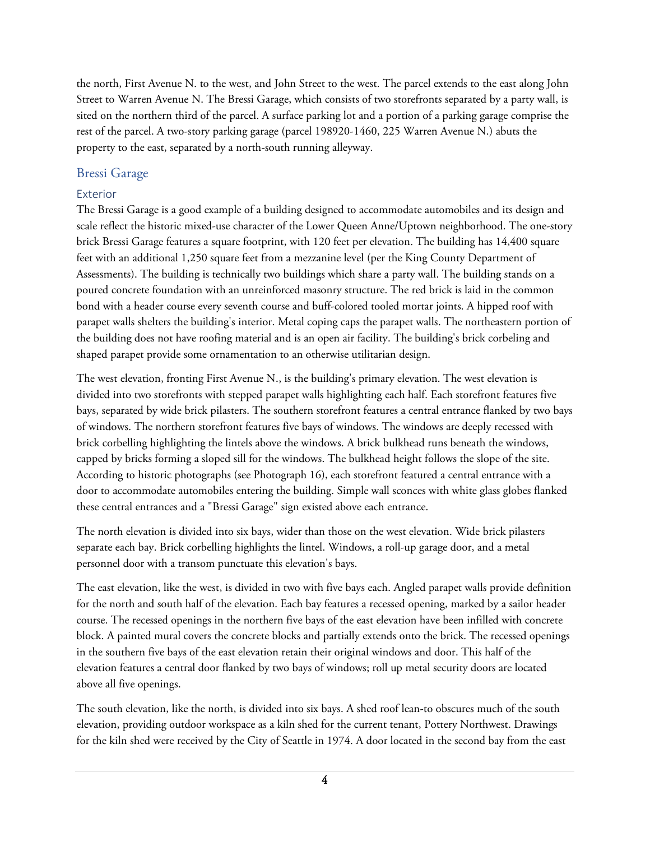the north, First Avenue N. to the west, and John Street to the west. The parcel extends to the east along John Street to Warren Avenue N. The Bressi Garage, which consists of two storefronts separated by a party wall, is sited on the northern third of the parcel. A surface parking lot and a portion of a parking garage comprise the rest of the parcel. A two-story parking garage (parcel 198920-1460, 225 Warren Avenue N.) abuts the property to the east, separated by a north-south running alleyway.

#### <span id="page-3-0"></span>Bressi Garage

#### Exterior

The Bressi Garage is a good example of a building designed to accommodate automobiles and its design and scale reflect the historic mixed-use character of the Lower Queen Anne/Uptown neighborhood. The one-story brick Bressi Garage features a square footprint, with 120 feet per elevation. The building has 14,400 square feet with an additional 1,250 square feet from a mezzanine level (per the King County Department of Assessments). The building is technically two buildings which share a party wall. The building stands on a poured concrete foundation with an unreinforced masonry structure. The red brick is laid in the common bond with a header course every seventh course and buff-colored tooled mortar joints. A hipped roof with parapet walls shelters the building's interior. Metal coping caps the parapet walls. The northeastern portion of the building does not have roofing material and is an open air facility. The building's brick corbeling and shaped parapet provide some ornamentation to an otherwise utilitarian design.

The west elevation, fronting First Avenue N., is the building's primary elevation. The west elevation is divided into two storefronts with stepped parapet walls highlighting each half. Each storefront features five bays, separated by wide brick pilasters. The southern storefront features a central entrance flanked by two bays of windows. The northern storefront features five bays of windows. The windows are deeply recessed with brick corbelling highlighting the lintels above the windows. A brick bulkhead runs beneath the windows, capped by bricks forming a sloped sill for the windows. The bulkhead height follows the slope of the site. According to historic photographs (see Photograph 16), each storefront featured a central entrance with a door to accommodate automobiles entering the building. Simple wall sconces with white glass globes flanked these central entrances and a "Bressi Garage" sign existed above each entrance.

The north elevation is divided into six bays, wider than those on the west elevation. Wide brick pilasters separate each bay. Brick corbelling highlights the lintel. Windows, a roll-up garage door, and a metal personnel door with a transom punctuate this elevation's bays.

The east elevation, like the west, is divided in two with five bays each. Angled parapet walls provide definition for the north and south half of the elevation. Each bay features a recessed opening, marked by a sailor header course. The recessed openings in the northern five bays of the east elevation have been infilled with concrete block. A painted mural covers the concrete blocks and partially extends onto the brick. The recessed openings in the southern five bays of the east elevation retain their original windows and door. This half of the elevation features a central door flanked by two bays of windows; roll up metal security doors are located above all five openings.

The south elevation, like the north, is divided into six bays. A shed roof lean-to obscures much of the south elevation, providing outdoor workspace as a kiln shed for the current tenant, Pottery Northwest. Drawings for the kiln shed were received by the City of Seattle in 1974. A door located in the second bay from the east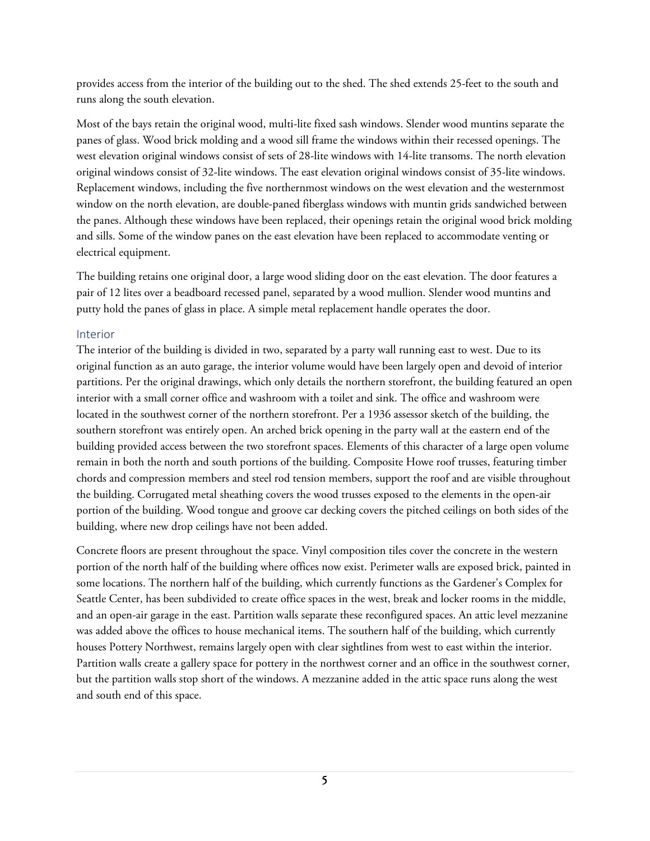provides access from the interior of the building out to the shed. The shed extends 25-feet to the south and runs along the south elevation.

Most of the bays retain the original wood, multi-lite fixed sash windows. Slender wood muntins separate the panes of glass. Wood brick molding and a wood sill frame the windows within their recessed openings. The west elevation original windows consist of sets of 28-lite windows with 14-lite transoms. The north elevation original windows consist of 32-lite windows. The east elevation original windows consist of 35-lite windows. Replacement windows, including the five northernmost windows on the west elevation and the westernmost window on the north elevation, are double-paned fiberglass windows with muntin grids sandwiched between the panes. Although these windows have been replaced, their openings retain the original wood brick molding and sills. Some of the window panes on the east elevation have been replaced to accommodate venting or electrical equipment.

The building retains one original door, a large wood sliding door on the east elevation. The door features a pair of 12 lites over a beadboard recessed panel, separated by a wood mullion. Slender wood muntins and putty hold the panes of glass in place. A simple metal replacement handle operates the door.

#### Interior

The interior of the building is divided in two, separated by a party wall running east to west. Due to its original function as an auto garage, the interior volume would have been largely open and devoid of interior partitions. Per the original drawings, which only details the northern storefront, the building featured an open interior with a small corner office and washroom with a toilet and sink. The office and washroom were located in the southwest corner of the northern storefront. Per a 1936 assessor sketch of the building, the southern storefront was entirely open. An arched brick opening in the party wall at the eastern end of the building provided access between the two storefront spaces. Elements of this character of a large open volume remain in both the north and south portions of the building. Composite Howe roof trusses, featuring timber chords and compression members and steel rod tension members, support the roof and are visible throughout the building. Corrugated metal sheathing covers the wood trusses exposed to the elements in the open-air portion of the building. Wood tongue and groove car decking covers the pitched ceilings on both sides of the building, where new drop ceilings have not been added.

Concrete floors are present throughout the space. Vinyl composition tiles cover the concrete in the western portion of the north half of the building where offices now exist. Perimeter walls are exposed brick, painted in some locations. The northern half of the building, which currently functions as the Gardener's Complex for Seattle Center, has been subdivided to create office spaces in the west, break and locker rooms in the middle, and an open-air garage in the east. Partition walls separate these reconfigured spaces. An attic level mezzanine was added above the offices to house mechanical items. The southern half of the building, which currently houses Pottery Northwest, remains largely open with clear sightlines from west to east within the interior. Partition walls create a gallery space for pottery in the northwest corner and an office in the southwest corner, but the partition walls stop short of the windows. A mezzanine added in the attic space runs along the west and south end of this space.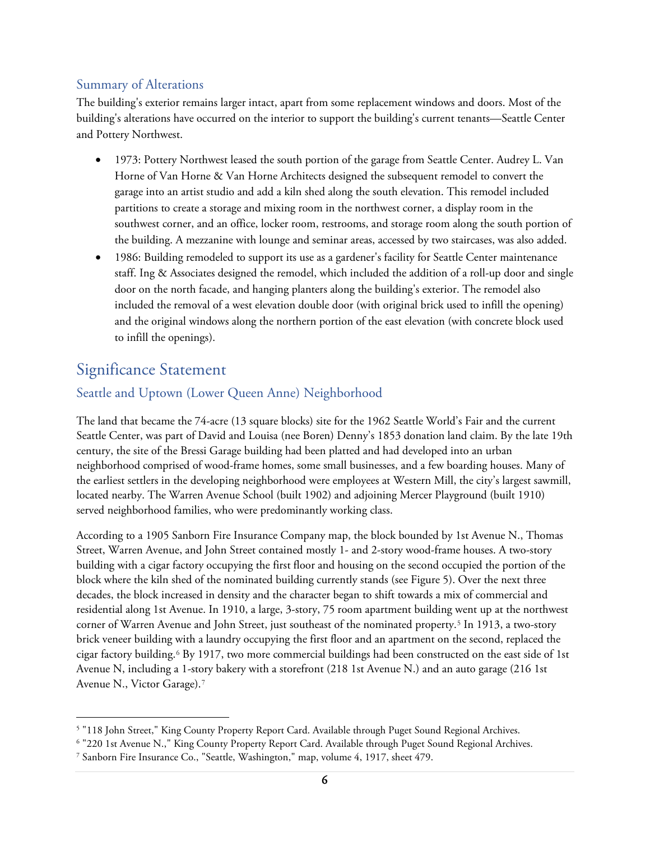#### <span id="page-5-0"></span>Summary of Alterations

The building's exterior remains larger intact, apart from some replacement windows and doors. Most of the building's alterations have occurred on the interior to support the building's current tenants—Seattle Center and Pottery Northwest.

- 1973: Pottery Northwest leased the south portion of the garage from Seattle Center. Audrey L. Van Horne of Van Horne & Van Horne Architects designed the subsequent remodel to convert the garage into an artist studio and add a kiln shed along the south elevation. This remodel included partitions to create a storage and mixing room in the northwest corner, a display room in the southwest corner, and an office, locker room, restrooms, and storage room along the south portion of the building. A mezzanine with lounge and seminar areas, accessed by two staircases, was also added.
- 1986: Building remodeled to support its use as a gardener's facility for Seattle Center maintenance staff. Ing & Associates designed the remodel, which included the addition of a roll-up door and single door on the north facade, and hanging planters along the building's exterior. The remodel also included the removal of a west elevation double door (with original brick used to infill the opening) and the original windows along the northern portion of the east elevation (with concrete block used to infill the openings).

### <span id="page-5-1"></span>Significance Statement

#### <span id="page-5-2"></span>Seattle and Uptown (Lower Queen Anne) Neighborhood

The land that became the 74-acre (13 square blocks) site for the 1962 Seattle World's Fair and the current Seattle Center, was part of David and Louisa (nee Boren) Denny's 1853 donation land claim. By the late 19th century, the site of the Bressi Garage building had been platted and had developed into an urban neighborhood comprised of wood-frame homes, some small businesses, and a few boarding houses. Many of the earliest settlers in the developing neighborhood were employees at Western Mill, the city's largest sawmill, located nearby. The Warren Avenue School (built 1902) and adjoining Mercer Playground (built 1910) served neighborhood families, who were predominantly working class.

According to a 1905 Sanborn Fire Insurance Company map, the block bounded by 1st Avenue N., Thomas Street, Warren Avenue, and John Street contained mostly 1- and 2-story wood-frame houses. A two-story building with a cigar factory occupying the first floor and housing on the second occupied the portion of the block where the kiln shed of the nominated building currently stands (see Figure 5). Over the next three decades, the block increased in density and the character began to shift towards a mix of commercial and residential along 1st Avenue. In 1910, a large, 3-story, 75 room apartment building went up at the northwest corner of Warren Avenue and John Street, just southeast of the nominated property.[5](#page-5-3) In 1913, a two-story brick veneer building with a laundry occupying the first floor and an apartment on the second, replaced the cigar factory building.[6](#page-5-4) By 1917, two more commercial buildings had been constructed on the east side of 1st Avenue N, including a 1-story bakery with a storefront (218 1st Avenue N.) and an auto garage (216 1st Avenue N., Victor Garage).[7](#page-5-5)

<span id="page-5-5"></span><span id="page-5-4"></span><span id="page-5-3"></span> <sup>5</sup> "118 John Street," King County Property Report Card. Available through Puget Sound Regional Archives.

<span id="page-5-6"></span><sup>6</sup> "220 1st Avenue N.," King County Property Report Card. Available through Puget Sound Regional Archives.

<sup>7</sup> Sanborn Fire Insurance Co., "Seattle, Washington," map, volume 4, 1917, sheet 479.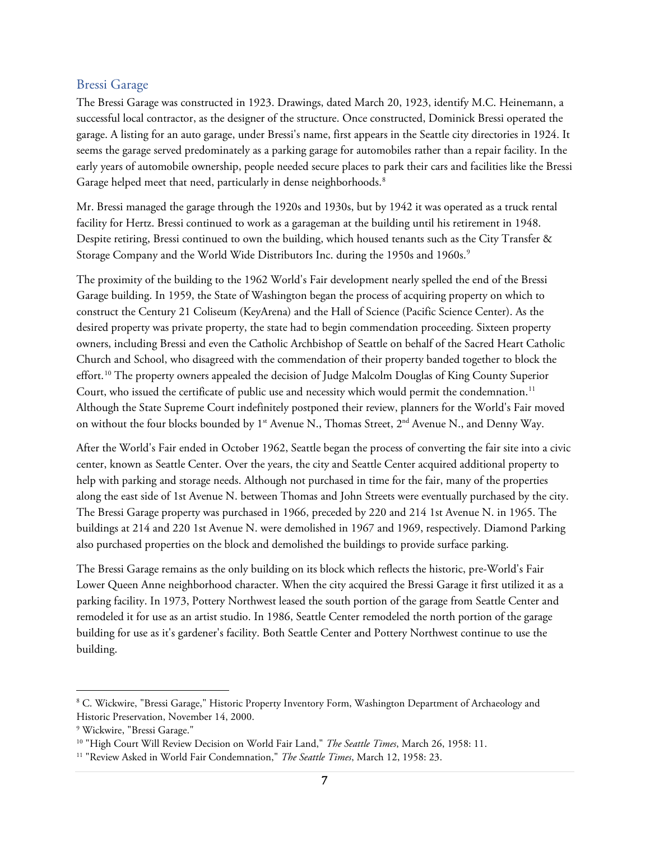#### <span id="page-6-0"></span>Bressi Garage

The Bressi Garage was constructed in 1923. Drawings, dated March 20, 1923, identify M.C. Heinemann, a successful local contractor, as the designer of the structure. Once constructed, Dominick Bressi operated the garage. A listing for an auto garage, under Bressi's name, first appears in the Seattle city directories in 1924. It seems the garage served predominately as a parking garage for automobiles rather than a repair facility. In the early years of automobile ownership, people needed secure places to park their cars and facilities like the Bressi Garage helped meet that need, particularly in dense neighborhoods.<sup>[8](#page-5-6)</sup>

Mr. Bressi managed the garage through the 1920s and 1930s, but by 1942 it was operated as a truck rental facility for Hertz. Bressi continued to work as a garageman at the building until his retirement in 1948. Despite retiring, Bressi continued to own the building, which housed tenants such as the City Transfer & Storage Company and the World Wide Distributors Inc. during the 1[9](#page-6-1)50s and 1960s.<sup>9</sup>

The proximity of the building to the 1962 World's Fair development nearly spelled the end of the Bressi Garage building. In 1959, the State of Washington began the process of acquiring property on which to construct the Century 21 Coliseum (KeyArena) and the Hall of Science (Pacific Science Center). As the desired property was private property, the state had to begin commendation proceeding. Sixteen property owners, including Bressi and even the Catholic Archbishop of Seattle on behalf of the Sacred Heart Catholic Church and School, who disagreed with the commendation of their property banded together to block the effort.<sup>[10](#page-6-2)</sup> The property owners appealed the decision of Judge Malcolm Douglas of King County Superior Court, who issued the certificate of public use and necessity which would permit the condemnation.<sup>[11](#page-6-3)</sup> Although the State Supreme Court indefinitely postponed their review, planners for the World's Fair moved on without the four blocks bounded by 1<sup>st</sup> Avenue N., Thomas Street, 2<sup>nd</sup> Avenue N., and Denny Way.

After the World's Fair ended in October 1962, Seattle began the process of converting the fair site into a civic center, known as Seattle Center. Over the years, the city and Seattle Center acquired additional property to help with parking and storage needs. Although not purchased in time for the fair, many of the properties along the east side of 1st Avenue N. between Thomas and John Streets were eventually purchased by the city. The Bressi Garage property was purchased in 1966, preceded by 220 and 214 1st Avenue N. in 1965. The buildings at 214 and 220 1st Avenue N. were demolished in 1967 and 1969, respectively. Diamond Parking also purchased properties on the block and demolished the buildings to provide surface parking.

The Bressi Garage remains as the only building on its block which reflects the historic, pre-World's Fair Lower Queen Anne neighborhood character. When the city acquired the Bressi Garage it first utilized it as a parking facility. In 1973, Pottery Northwest leased the south portion of the garage from Seattle Center and remodeled it for use as an artist studio. In 1986, Seattle Center remodeled the north portion of the garage building for use as it's gardener's facility. Both Seattle Center and Pottery Northwest continue to use the building.

<span id="page-6-4"></span><span id="page-6-3"></span><span id="page-6-2"></span><span id="page-6-1"></span> <sup>8</sup> C. Wickwire, "Bressi Garage," Historic Property Inventory Form, Washington Department of Archaeology and Historic Preservation, November 14, 2000.

<span id="page-6-6"></span><span id="page-6-5"></span><sup>9</sup> Wickwire, "Bressi Garage."

<sup>&</sup>lt;sup>10</sup> "High Court Will Review Decision on World Fair Land," *The Seattle Times*, March 26, 1958: 11.<br><sup>11</sup> "Review Asked in World Fair Condemnation," *The Seattle Times*, March 12, 1958: 23.

<span id="page-6-7"></span>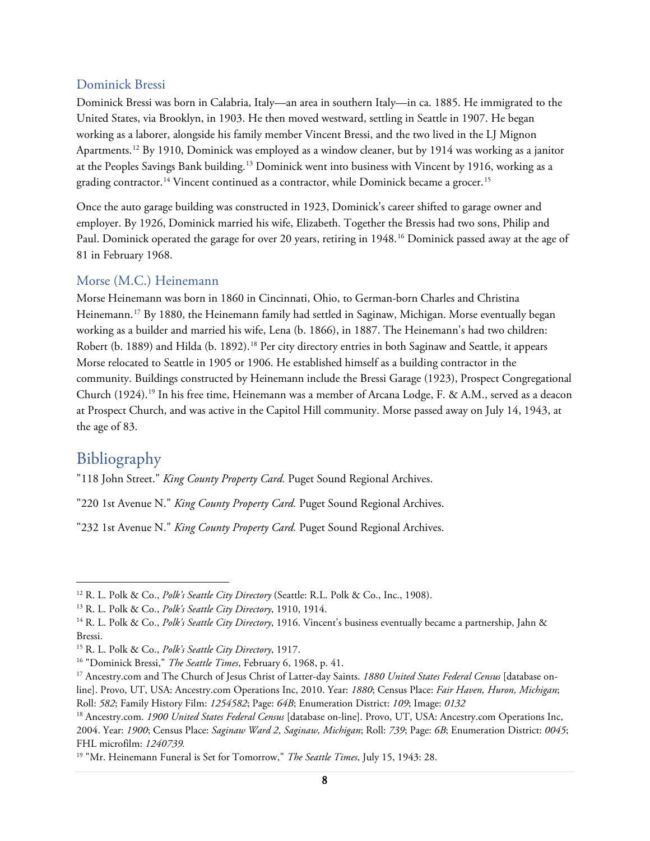#### <span id="page-7-0"></span>Dominick Bressi

Dominick Bressi was born in Calabria, Italy—an area in southern Italy—in ca. 1885. He immigrated to the United States, via Brooklyn, in 1903. He then moved westward, settling in Seattle in 1907. He began working as a laborer, alongside his family member Vincent Bressi, and the two lived in the LJ Mignon Apartments.<sup>[12](#page-6-4)</sup> By 1910, Dominick was employed as a window cleaner, but by 1914 was working as a janitor at the Peoples Savings Bank building.<sup>[13](#page-6-5)</sup> Dominick went into business with Vincent by 1916, working as a grading contractor.<sup>[14](#page-6-6)</sup> Vincent continued as a contractor, while Dominick became a grocer.<sup>[15](#page-6-7)</sup>

Once the auto garage building was constructed in 1923, Dominick's career shifted to garage owner and employer. By 1926, Dominick married his wife, Elizabeth. Together the Bressis had two sons, Philip and Paul. Dominick operated the garage for over 20 years, retiring in 1948.[16](#page-7-3) Dominick passed away at the age of 81 in February 1968.

#### <span id="page-7-1"></span>Morse (M.C.) Heinemann

Morse Heinemann was born in 1860 in Cincinnati, Ohio, to German-born Charles and Christina Heinemann.<sup>[17](#page-7-4)</sup> By 1880, the Heinemann family had settled in Saginaw, Michigan. Morse eventually began working as a builder and married his wife, Lena (b. 1866), in 1887. The Heinemann's had two children: Robert (b. [18](#page-7-5)89) and Hilda (b. 1892).<sup>18</sup> Per city directory entries in both Saginaw and Seattle, it appears Morse relocated to Seattle in 1905 or 1906. He established himself as a building contractor in the community. Buildings constructed by Heinemann include the Bressi Garage (1923), Prospect Congregational Church ([19](#page-7-6)24).<sup>19</sup> In his free time, Heinemann was a member of Arcana Lodge, F. & A.M., served as a deacon at Prospect Church, and was active in the Capitol Hill community. Morse passed away on July 14, 1943, at the age of 83.

### <span id="page-7-2"></span>Bibliography

"118 John Street." *King County Property Card.* Puget Sound Regional Archives.

"220 1st Avenue N." *King County Property Card.* Puget Sound Regional Archives.

"232 1st Avenue N." *King County Property Card.* Puget Sound Regional Archives.

 <sup>12</sup> R. L. Polk & Co., *Polk's Seattle City Directory* (Seattle: R.L. Polk & Co., Inc., 1908).

<sup>13</sup> R. L. Polk & Co., *Polk's Seattle City Directory*, 1910, 1914.

<sup>&</sup>lt;sup>14</sup> R. L. Polk & Co., Polk's Seattle City Directory, 1916. Vincent's business eventually became a partnership, Jahn & Bressi.

<sup>15</sup> R. L. Polk & Co., *Polk's Seattle City Directory*, 1917.

<span id="page-7-3"></span><sup>16</sup> "Dominick Bressi," *The Seattle Times*, February 6, 1968, p. 41.

<span id="page-7-4"></span><sup>17</sup> Ancestry.com and The Church of Jesus Christ of Latter-day Saints. *1880 United States Federal Census* [database online]. Provo, UT, USA: Ancestry.com Operations Inc, 2010. Year: *1880*; Census Place: *Fair Haven, Huron, Michigan*; Roll: *582*; Family History Film: *1254582*; Page: *64B*; Enumeration District: *109*; Image: *0132*

<span id="page-7-5"></span><sup>18</sup> Ancestry.com. *1900 United States Federal Census* [database on-line]. Provo, UT, USA: Ancestry.com Operations Inc, 2004. Year: *1900*; Census Place: *Saginaw Ward 2, Saginaw, Michigan*; Roll: *739*; Page: *6B*; Enumeration District: *0045*; FHL microfilm: *1240739.*

<span id="page-7-6"></span><sup>19</sup> "Mr. Heinemann Funeral is Set for Tomorrow," *The Seattle Times*, July 15, 1943: 28.